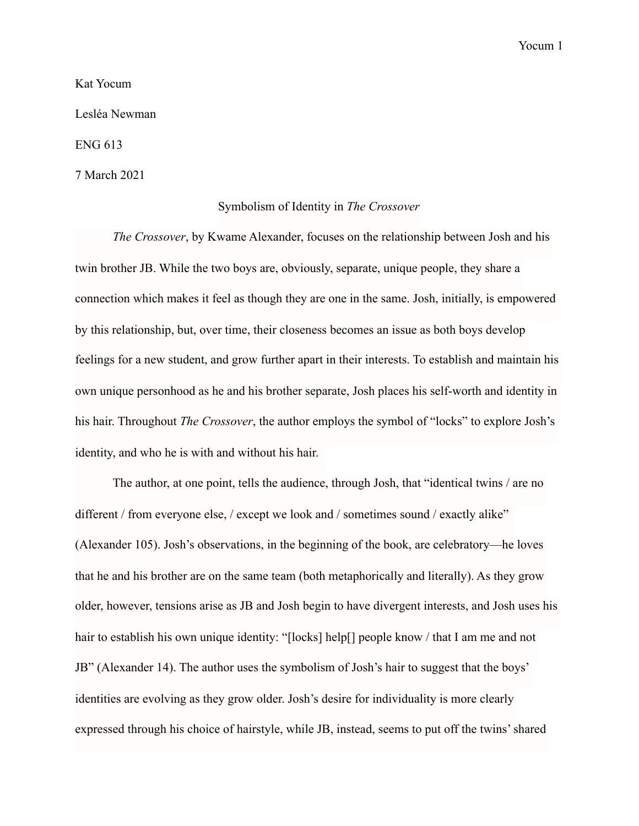Yocum 1

Kat Yocum

Lesléa Newman

ENG 613

7 March 2021

## Symbolism of Identity in *The Crossover*

*The Crossover*, by Kwame Alexander, focuses on the relationship between Josh and his twin brother JB. While the two boys are, obviously, separate, unique people, they share a connection which makes it feel as though they are one in the same. Josh, initially, is empowered by this relationship, but, over time, their closeness becomes an issue as both boys develop feelings for a new student, and grow further apart in their interests. To establish and maintain his own unique personhood as he and his brother separate, Josh places his self-worth and identity in his hair. Throughout *The Crossover*, the author employs the symbol of "locks" to explore Josh's identity, and who he is with and without his hair.

The author, at one point, tells the audience, through Josh, that "identical twins / are no different / from everyone else, / except we look and / sometimes sound / exactly alike" (Alexander 105). Josh's observations, in the beginning of the book, are celebratory—he loves that he and his brother are on the same team (both metaphorically and literally). As they grow older, however, tensions arise as JB and Josh begin to have divergent interests, and Josh uses his hair to establish his own unique identity: "[locks] help[] people know / that I am me and not JB" (Alexander 14). The author uses the symbolism of Josh's hair to suggest that the boys' identities are evolving as they grow older. Josh's desire for individuality is more clearly expressed through his choice of hairstyle, while JB, instead, seems to put off the twins' shared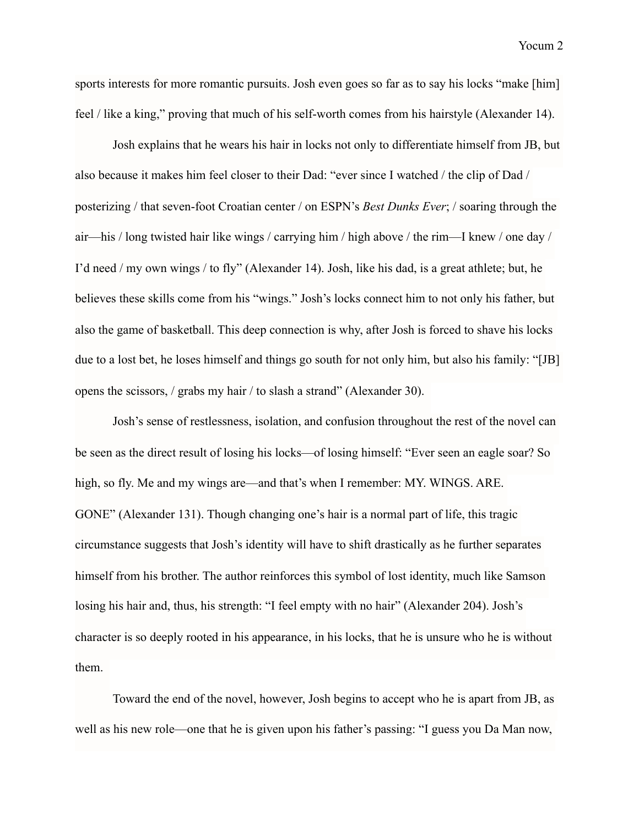sports interests for more romantic pursuits. Josh even goes so far as to say his locks "make [him] feel / like a king," proving that much of his self-worth comes from his hairstyle (Alexander 14).

Josh explains that he wears his hair in locks not only to differentiate himself from JB, but also because it makes him feel closer to their Dad: "ever since I watched / the clip of Dad / posterizing / that seven-foot Croatian center / on ESPN's *Best Dunks Ever*; / soaring through the air—his / long twisted hair like wings / carrying him / high above / the rim—I knew / one day / I'd need / my own wings / to fly" (Alexander 14). Josh, like his dad, is a great athlete; but, he believes these skills come from his "wings." Josh's locks connect him to not only his father, but also the game of basketball. This deep connection is why, after Josh is forced to shave his locks due to a lost bet, he loses himself and things go south for not only him, but also his family: "[JB] opens the scissors, / grabs my hair / to slash a strand" (Alexander 30).

 Josh's sense of restlessness, isolation, and confusion throughout the rest of the novel can be seen as the direct result of losing his locks—of losing himself: "Ever seen an eagle soar? So high, so fly. Me and my wings are—and that's when I remember: MY. WINGS. ARE. GONE" (Alexander 131). Though changing one's hair is a normal part of life, this tragic circumstance suggests that Josh's identity will have to shift drastically as he further separates himself from his brother. The author reinforces this symbol of lost identity, much like Samson losing his hair and, thus, his strength: "I feel empty with no hair" (Alexander 204). Josh's character is so deeply rooted in his appearance, in his locks, that he is unsure who he is without them.

 Toward the end of the novel, however, Josh begins to accept who he is apart from JB, as well as his new role—one that he is given upon his father's passing: "I guess you Da Man now,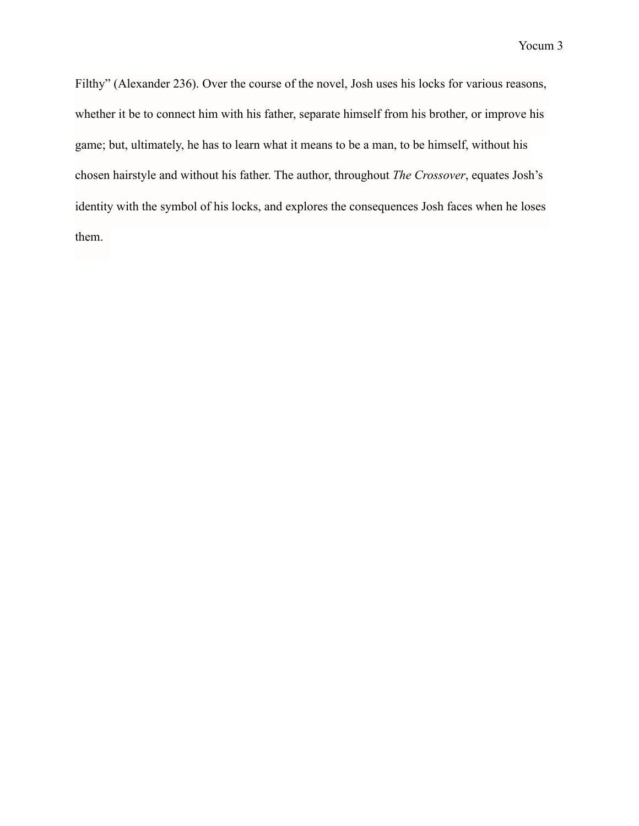Filthy" (Alexander 236). Over the course of the novel, Josh uses his locks for various reasons, whether it be to connect him with his father, separate himself from his brother, or improve his game; but, ultimately, he has to learn what it means to be a man, to be himself, without his chosen hairstyle and without his father. The author, throughout *The Crossover*, equates Josh's identity with the symbol of his locks, and explores the consequences Josh faces when he loses them.